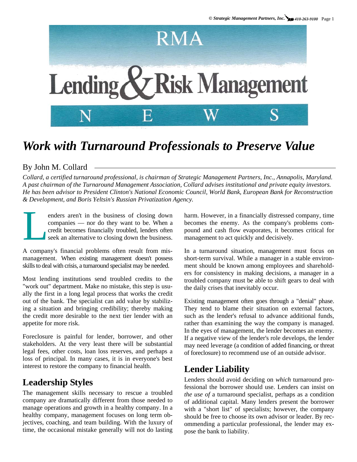

# *Work with Turnaround Professionals to Preserve Value*

#### By John M. Collard

*Collard, a certified turnaround professional, is chairman of Strategic Management Partners, Inc., Annapolis, Maryland. A past chairman of the Turnaround Management Association, Collard advises institutional and private equity investors. He has been advisor to President Clinton's National Economic Council, World Bank, European Bank for Reconstruction & Development, and Boris Yeltsin's Russian Privatization Agency.*

enders aren't in the business of closing down<br>companies — nor do they want to be. When a<br>credit becomes financially troubled, lenders often<br>seek an alternative to closing down the business. companies — nor do they want to be. When a credit becomes financially troubled, lenders often seek an alternative to closing down the business.

A company's financial problems often result from mismanagement. When existing management doesn't possess skills to deal with crisis, a turnaround specialist may be needed.

Most lending institutions send troubled credits to the "work out" department. Make no mistake, this step is usually the first in a long legal process that works the credit out of the bank. The specialist can add value by stabilizing a situation and bringing credibility; thereby making the credit more desirable to the next tier lender with an appetite for more risk.

Foreclosure is painful for lender, borrower, and other stakeholders. At the very least there will be substantial legal fees, other costs, loan loss reserves, and perhaps a loss of principal. In many cases, it is in everyone's best interest to restore the company to financial health.

## **Leadership Styles**

The management skills necessary to rescue a troubled company are dramatically different from those needed to manage operations and growth in a healthy company. In a healthy company, management focuses on long term objectives, coaching, and team building. With the luxury of time, the occasional mistake generally will not do lasting harm. However, in a financially distressed company, time becomes the enemy. As the company's problems compound and cash flow evaporates, it becomes critical for management to act quickly and decisively.

In a turnaround situation, management must focus on short-term survival. While a manager in a stable environment should be known among employees and shareholders for consistency in making decisions, a manager in a troubled company must be able to shift gears to deal with the daily crises that inevitably occur.

Existing management often goes through a "denial" phase. They tend to blame their situation on external factors, such as the lender's refusal to advance additional funds, rather than examining the way the company is managed. In the eyes of management, the lender becomes an enemy. If a negative view of the lender's role develops, the lender may need leverage (a condition of added financing, or threat of foreclosure) to recommend use of an outside advisor.

## **Lender Liability**

Lenders should avoid deciding on *which* turnaround professional the borrower should use. Lenders can insist on *the use of* a turnaround specialist, perhaps as a condition of additional capital. Many lenders present the borrower with a "short list" of specialists; however, the company should be free to choose its own advisor or leader. By recommending a particular professional, the lender may expose the bank to liability.